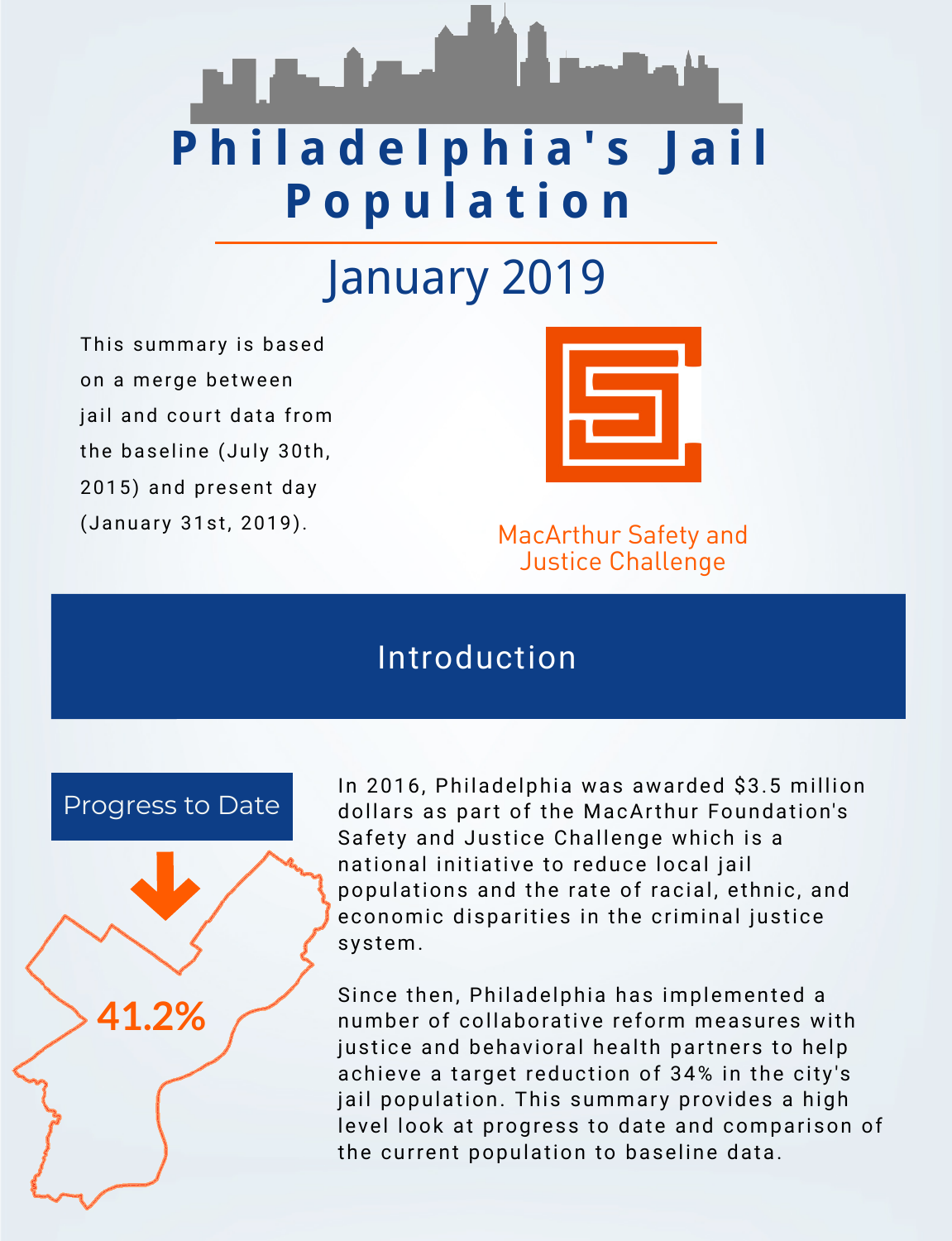# **P h i l a d e l p h i a ' s J a i l P o p u l a t i o n**

2015) and present day (January 31st, 2019).

> In 2016, Philadelphia was awarded \$3.5 million dollars as part of the MacArthur Foundation's Safety and Justice Challenge which is a national initiative to reduce local jail populations and the rate of racial, ethnic, and economic disparities in the criminal justice system.

Since then, Philadelphia has implemented a number of collaborative reform measures with justice and behavioral health partners to help achieve a target reduction of 34% in the city's jail population. This summary provides a high level look at progress to date and comparison of the current population to baseline data.

### Introduction

# January 2019

This summary is based on a merge between jail and court data from the baseline (July 30th,



### MacArthur Safety and Justice Challenge





**41.2%**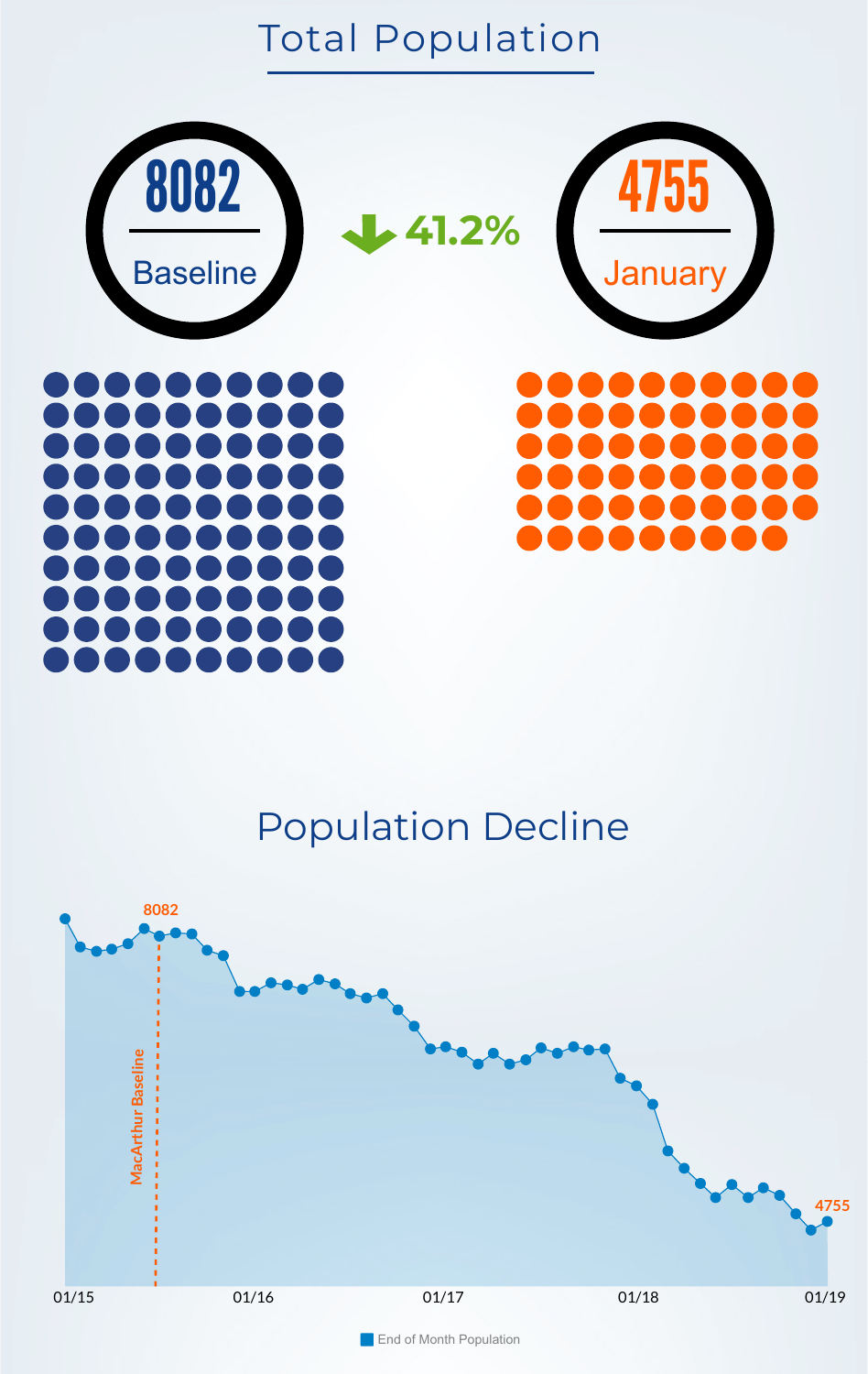# Total Population



### 

### $\sqrt{2}$

Population Decline

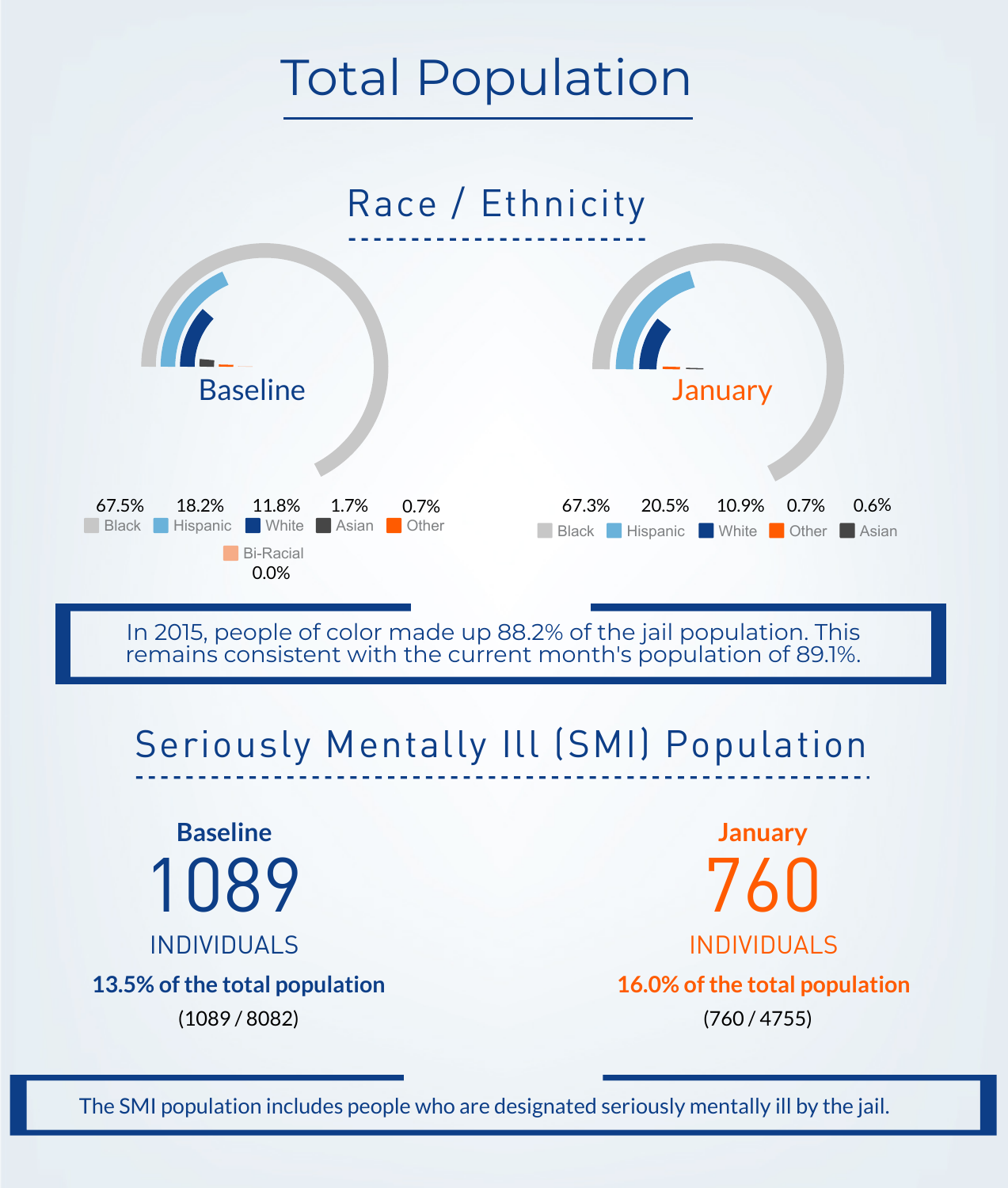

# Seriously Mentally Ill (SMI) Population

1089 INDIVIDUALS

# Race / Ethnicity



#### The SMI population includes people who are designated seriously mentally ill by the jail.

760 INDIVIDUALS **Baseline January 13.5% of the total population 16.0% of the total population**







In 2015, people of color made up 88.2% of the jail population. This remains consistent with the current month's population of 89.1%.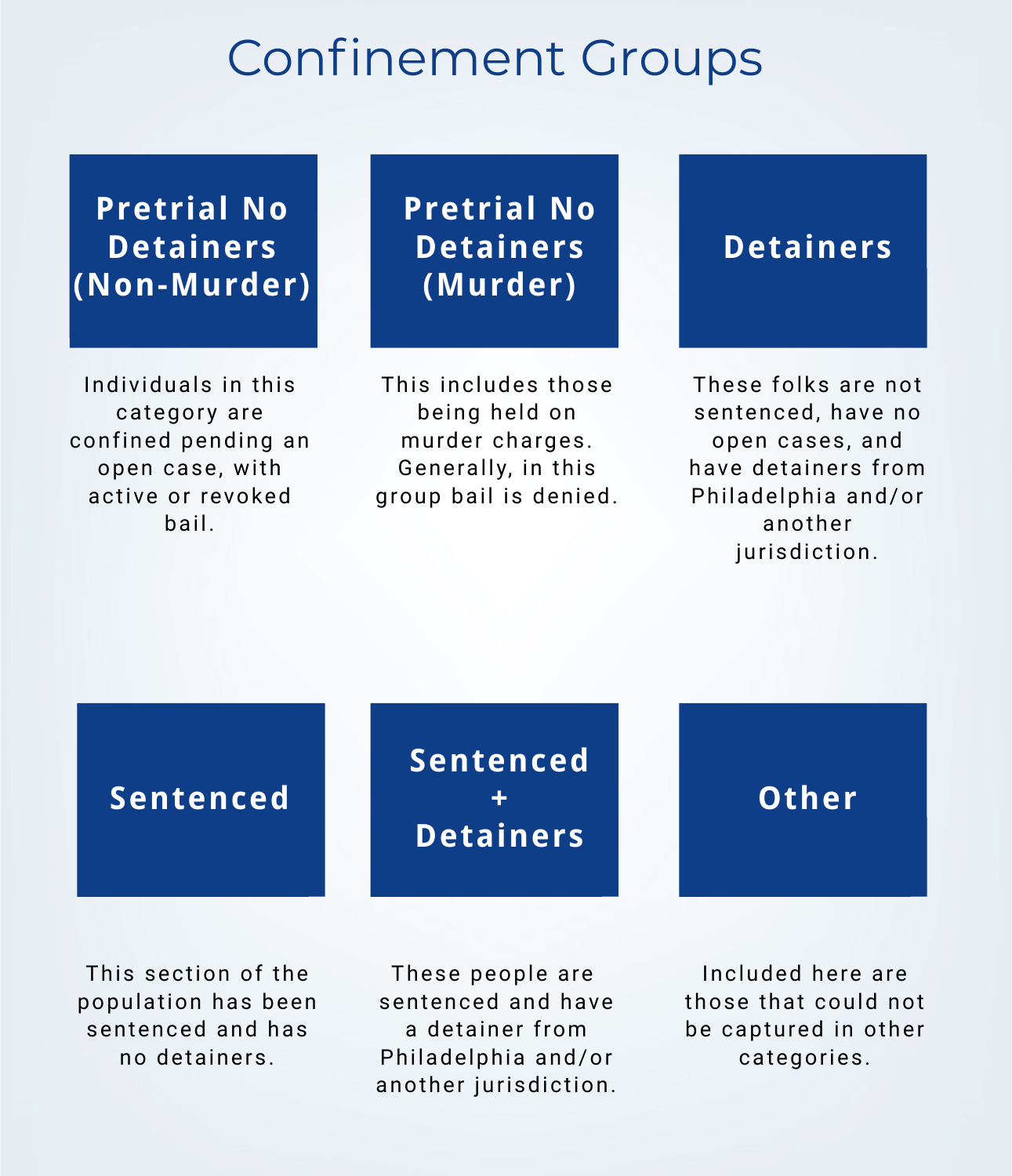Individuals in this category are confined pending an open case, with active or revoked

bail.

This includes those being held on murder charges. Generally, in this group bail is denied.

These folks are not sentenced, have no open cases, and have detainers from Philadelphia and/or

### another jurisdiction.

**Pretrial No**

**Detainers**

**(Murder)**

This section of the population has been

#### sentenced and has no detainers.

These people are sentenced and have

a detainer from

Philadelphia and/or

another jurisdiction.

Included here are those that could not

be captured in other categories.

# Confinement Groups



**Detainers**

### **Pretrial No Detainers (Non-Murder)**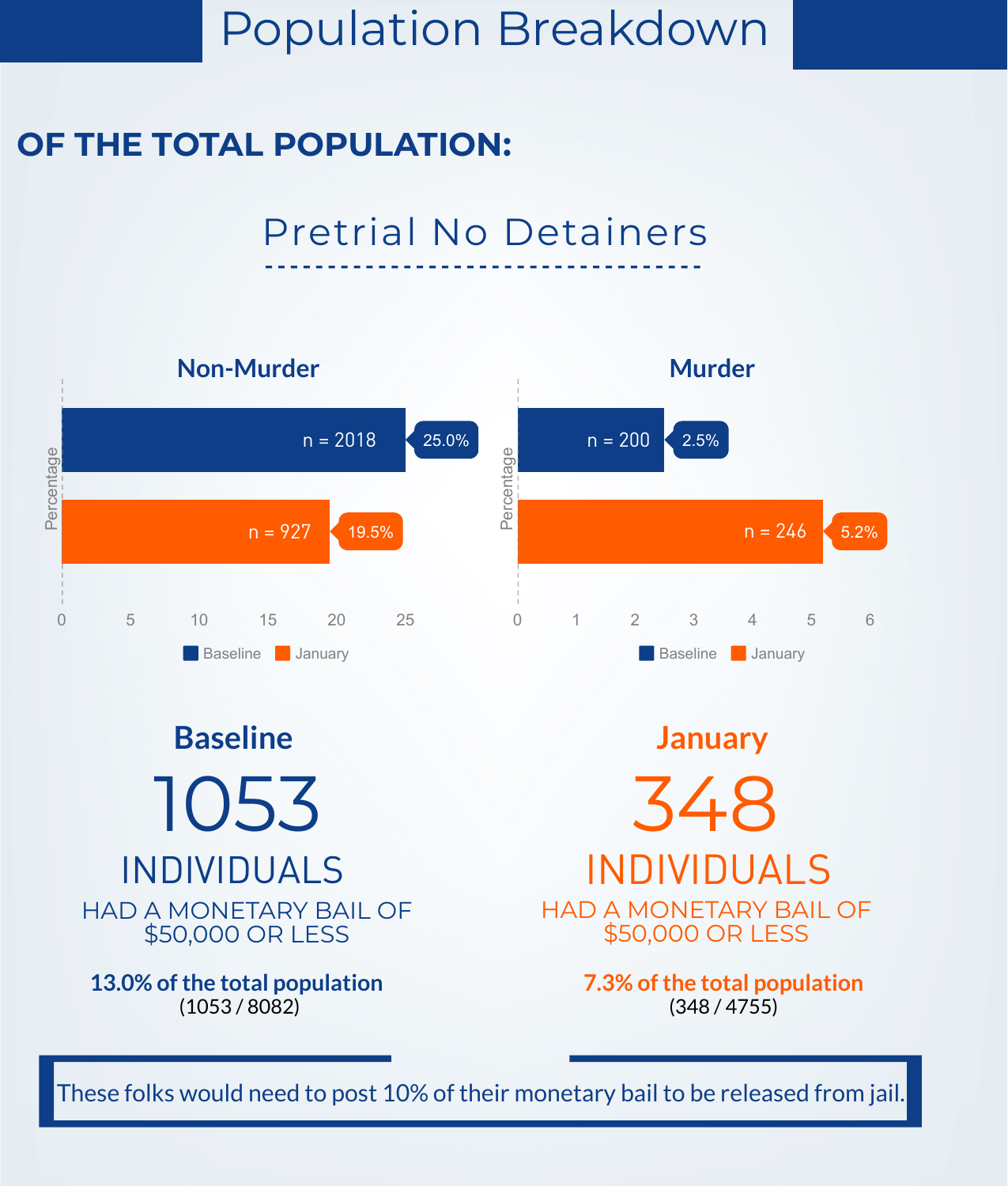# Population Breakdown

**13.0% of the total population 7.3% of the total population**  $(1053 / 8082)$  (348/4755)





### **OF THE TOTAL POPULATION:**

## Pretrial No Detainers

### These folks would need to post 10% of their monetary bail to be released from jail.

INDIVIDUALS INDIVIDUALS **Baseline January** 1053 348 HAD A MONETARY BAIL OF \$50,000 OR LESS

HAD A MONETARY BAIL OF \$50,000 OR LESS